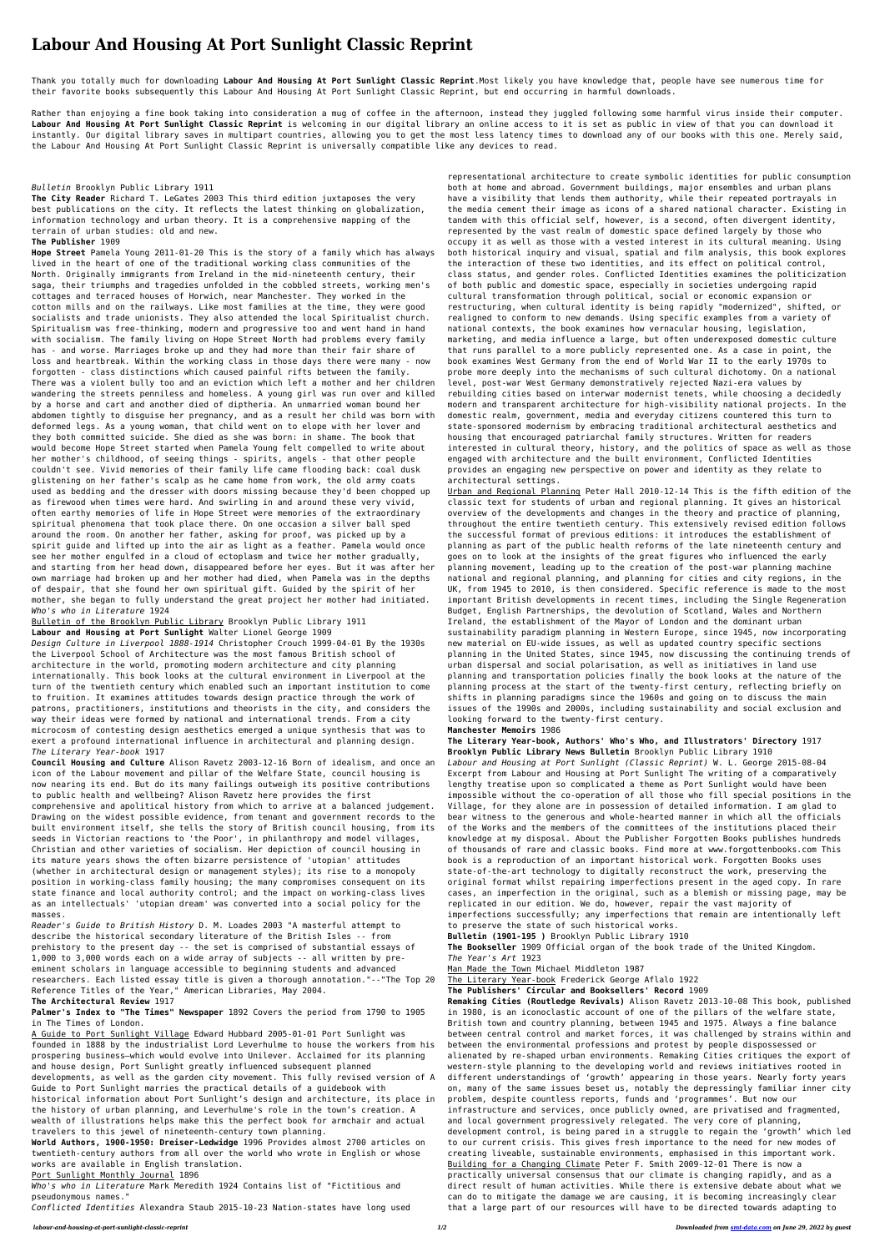# **Labour And Housing At Port Sunlight Classic Reprint**

Thank you totally much for downloading **Labour And Housing At Port Sunlight Classic Reprint**.Most likely you have knowledge that, people have see numerous time for their favorite books subsequently this Labour And Housing At Port Sunlight Classic Reprint, but end occurring in harmful downloads.

Rather than enjoying a fine book taking into consideration a mug of coffee in the afternoon, instead they juggled following some harmful virus inside their computer. **Labour And Housing At Port Sunlight Classic Reprint** is welcoming in our digital library an online access to it is set as public in view of that you can download it instantly. Our digital library saves in multipart countries, allowing you to get the most less latency times to download any of our books with this one. Merely said, the Labour And Housing At Port Sunlight Classic Reprint is universally compatible like any devices to read.

# *Bulletin* Brooklyn Public Library 1911

**The City Reader** Richard T. LeGates 2003 This third edition juxtaposes the very best publications on the city. It reflects the latest thinking on globalization, information technology and urban theory. It is a comprehensive mapping of the terrain of urban studies: old and new.

#### **The Publisher** 1909

**Hope Street** Pamela Young 2011-01-20 This is the story of a family which has always lived in the heart of one of the traditional working class communities of the North. Originally immigrants from Ireland in the mid-nineteenth century, their saga, their triumphs and tragedies unfolded in the cobbled streets, working men's cottages and terraced houses of Horwich, near Manchester. They worked in the cotton mills and on the railways. Like most families at the time, they were good socialists and trade unionists. They also attended the local Spiritualist church. Spiritualism was free-thinking, modern and progressive too and went hand in hand with socialism. The family living on Hope Street North had problems every family has - and worse. Marriages broke up and they had more than their fair share of loss and heartbreak. Within the working class in those days there were many - now forgotten - class distinctions which caused painful rifts between the family. There was a violent bully too and an eviction which left a mother and her children wandering the streets penniless and homeless. A young girl was run over and killed by a horse and cart and another died of diptheria. An unmarried woman bound her abdomen tightly to disguise her pregnancy, and as a result her child was born with deformed legs. As a young woman, that child went on to elope with her lover and they both committed suicide. She died as she was born: in shame. The book that would become Hope Street started when Pamela Young felt compelled to write about her mother's childhood, of seeing things - spirits, angels - that other people couldn't see. Vivid memories of their family life came flooding back: coal dusk glistening on her father's scalp as he came home from work, the old army coats used as bedding and the dresser with doors missing because they'd been chopped up as firewood when times were hard. And swirling in and around these very vivid, often earthy memories of life in Hope Street were memories of the extraordinary spiritual phenomena that took place there. On one occasion a silver ball sped around the room. On another her father, asking for proof, was picked up by a spirit guide and lifted up into the air as light as a feather. Pamela would once see her mother engulfed in a cloud of ectoplasm and twice her mother gradually, and starting from her head down, disappeared before her eyes. But it was after her own marriage had broken up and her mother had died, when Pamela was in the depths of despair, that she found her own spiritual gift. Guided by the spirit of her mother, she began to fully understand the great project her mother had initiated. *Who's who in Literature* 1924

Bulletin of the Brooklyn Public Library Brooklyn Public Library 1911 **Labour and Housing at Port Sunlight** Walter Lionel George 1909

*Design Culture in Liverpool 1888-1914* Christopher Crouch 1999-04-01 By the 1930s the Liverpool School of Architecture was the most famous British school of architecture in the world, promoting modern architecture and city planning internationally. This book looks at the cultural environment in Liverpool at the turn of the twentieth century which enabled such an important institution to come to fruition. It examines attitudes towards design practice through the work of patrons, practitioners, institutions and theorists in the city, and considers the way their ideas were formed by national and international trends. From a city microcosm of contesting design aesthetics emerged a unique synthesis that was to exert a profound international influence in architectural and planning design. *The Literary Year-book* 1917 **Council Housing and Culture** Alison Ravetz 2003-12-16 Born of idealism, and once an icon of the Labour movement and pillar of the Welfare State, council housing is now nearing its end. But do its many failings outweigh its positive contributions to public health and wellbeing? Alison Ravetz here provides the first comprehensive and apolitical history from which to arrive at a balanced judgement. Drawing on the widest possible evidence, from tenant and government records to the built environment itself, she tells the story of British council housing, from its seeds in Victorian reactions to 'the Poor', in philanthropy and model villages, Christian and other varieties of socialism. Her depiction of council housing in its mature years shows the often bizarre persistence of 'utopian' attitudes (whether in architectural design or management styles); its rise to a monopoly position in working-class family housing; the many compromises consequent on its state finance and local authority control; and the impact on working-class lives as an intellectuals' 'utopian dream' was converted into a social policy for the masses. *Reader's Guide to British History* D. M. Loades 2003 "A masterful attempt to describe the historical secondary literature of the British Isles -- from prehistory to the present day -- the set is comprised of substantial essays of 1,000 to 3,000 words each on a wide array of subjects -- all written by preeminent scholars in language accessible to beginning students and advanced researchers. Each listed essay title is given a thorough annotation."--"The Top 20 Reference Titles of the Year," American Libraries, May 2004.

## **The Architectural Review** 1917

**Palmer's Index to "The Times" Newspaper** 1892 Covers the period from 1790 to 1905 in The Times of London.

A Guide to Port Sunlight Village Edward Hubbard 2005-01-01 Port Sunlight was founded in 1888 by the industrialist Lord Leverhulme to house the workers from his prospering business—which would evolve into Unilever. Acclaimed for its planning and house design, Port Sunlight greatly influenced subsequent planned developments, as well as the garden city movement. This fully revised version of A Guide to Port Sunlight marries the practical details of a guidebook with historical information about Port Sunlight's design and architecture, its place in the history of urban planning, and Leverhulme's role in the town's creation. A wealth of illustrations helps make this the perfect book for armchair and actual travelers to this jewel of nineteenth-century town planning.

**World Authors, 1900-1950: Dreiser-Ledwidge** 1996 Provides almost 2700 articles on twentieth-century authors from all over the world who wrote in English or whose works are available in English translation.

### Port Sunlight Monthly Journal 1896

*Who's who in Literature* Mark Meredith 1924 Contains list of "Fictitious and pseudonymous names."

*Conflicted Identities* Alexandra Staub 2015-10-23 Nation-states have long used

representational architecture to create symbolic identities for public consumption both at home and abroad. Government buildings, major ensembles and urban plans have a visibility that lends them authority, while their repeated portrayals in the media cement their image as icons of a shared national character. Existing in tandem with this official self, however, is a second, often divergent identity, represented by the vast realm of domestic space defined largely by those who occupy it as well as those with a vested interest in its cultural meaning. Using both historical inquiry and visual, spatial and film analysis, this book explores the interaction of these two identities, and its effect on political control, class status, and gender roles. Conflicted Identities examines the politicization of both public and domestic space, especially in societies undergoing rapid cultural transformation through political, social or economic expansion or restructuring, when cultural identity is being rapidly "modernized", shifted, or realigned to conform to new demands. Using specific examples from a variety of national contexts, the book examines how vernacular housing, legislation, marketing, and media influence a large, but often underexposed domestic culture that runs parallel to a more publicly represented one. As a case in point, the book examines West Germany from the end of World War II to the early 1970s to probe more deeply into the mechanisms of such cultural dichotomy. On a national level, post-war West Germany demonstratively rejected Nazi-era values by rebuilding cities based on interwar modernist tenets, while choosing a decidedly modern and transparent architecture for high-visibility national projects. In the domestic realm, government, media and everyday citizens countered this turn to state-sponsored modernism by embracing traditional architectural aesthetics and housing that encouraged patriarchal family structures. Written for readers interested in cultural theory, history, and the politics of space as well as those engaged with architecture and the built environment, Conflicted Identities provides an engaging new perspective on power and identity as they relate to architectural settings.

Urban and Regional Planning Peter Hall 2010-12-14 This is the fifth edition of the classic text for students of urban and regional planning. It gives an historical overview of the developments and changes in the theory and practice of planning, throughout the entire twentieth century. This extensively revised edition follows the successful format of previous editions: it introduces the establishment of planning as part of the public health reforms of the late nineteenth century and goes on to look at the insights of the great figures who influenced the early planning movement, leading up to the creation of the post-war planning machine national and regional planning, and planning for cities and city regions, in the UK, from 1945 to 2010, is then considered. Specific reference is made to the most important British developments in recent times, including the Single Regeneration Budget, English Partnerships, the devolution of Scotland, Wales and Northern Ireland, the establishment of the Mayor of London and the dominant urban sustainability paradigm planning in Western Europe, since 1945, now incorporating new material on EU-wide issues, as well as updated country specific sections planning in the United States, since 1945, now discussing the continuing trends of urban dispersal and social polarisation, as well as initiatives in land use

planning and transportation policies finally the book looks at the nature of the planning process at the start of the twenty-first century, reflecting briefly on shifts in planning paradigms since the 1960s and going on to discuss the main issues of the 1990s and 2000s, including sustainability and social exclusion and looking forward to the twenty-first century.

#### **Manchester Memoirs** 1986

**The Literary Year-book, Authors' Who's Who, and Illustrators' Directory** 1917 **Brooklyn Public Library News Bulletin** Brooklyn Public Library 1910 *Labour and Housing at Port Sunlight (Classic Reprint)* W. L. George 2015-08-04 Excerpt from Labour and Housing at Port Sunlight The writing of a comparatively lengthy treatise upon so complicated a theme as Port Sunlight would have been impossible without the co-operation of all those who fill special positions in the Village, for they alone are in possession of detailed information. I am glad to bear witness to the generous and whole-hearted manner in which all the officials of the Works and the members of the committees of the institutions placed their knowledge at my disposal. About the Publisher Forgotten Books publishes hundreds of thousands of rare and classic books. Find more at www.forgottenbooks.com This book is a reproduction of an important historical work. Forgotten Books uses state-of-the-art technology to digitally reconstruct the work, preserving the original format whilst repairing imperfections present in the aged copy. In rare cases, an imperfection in the original, such as a blemish or missing page, may be replicated in our edition. We do, however, repair the vast majority of imperfections successfully; any imperfections that remain are intentionally left to preserve the state of such historical works.

**Bulletin (1901-195 )** Brooklyn Public Library 1910

**The Bookseller** 1909 Official organ of the book trade of the United Kingdom. *The Year's Art* 1923

Man Made the Town Michael Middleton 1987

The Literary Year-book Frederick George Aflalo 1922

**The Publishers' Circular and Booksellers' Record** 1909

**Remaking Cities (Routledge Revivals)** Alison Ravetz 2013-10-08 This book, published in 1980, is an iconoclastic account of one of the pillars of the welfare state, British town and country planning, between 1945 and 1975. Always a fine balance between central control and market forces, it was challenged by strains within and between the environmental professions and protest by people dispossessed or alienated by re-shaped urban environments. Remaking Cities critiques the export of western-style planning to the developing world and reviews initiatives rooted in different understandings of 'growth' appearing in those years. Nearly forty years on, many of the same issues beset us, notably the depressingly familiar inner city problem, despite countless reports, funds and 'programmes'. But now our infrastructure and services, once publicly owned, are privatised and fragmented, and local government progressively relegated. The very core of planning, development control, is being pared in a struggle to regain the 'growth' which led to our current crisis. This gives fresh importance to the need for new modes of creating liveable, sustainable environments, emphasised in this important work. Building for a Changing Climate Peter F. Smith 2009-12-01 There is now a practically universal consensus that our climate is changing rapidly, and as a direct result of human activities. While there is extensive debate about what we can do to mitigate the damage we are causing, it is becoming increasingly clear that a large part of our resources will have to be directed towards adapting to